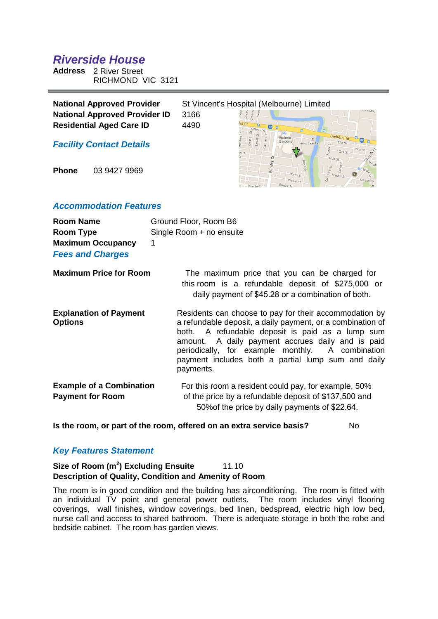# *Riverside House*

**Address** 2 River Street RICHMOND VIC 3121

| <b>National Approved Provider</b>    | St Vincent's Hospital (Melbourne) Limited |                         |
|--------------------------------------|-------------------------------------------|-------------------------|
| <b>National Approved Provider ID</b> | 3166                                      | <b>ueven</b>            |
| <b>Residential Aged Care ID</b>      | 4490                                      |                         |
| <b>Facility Contact Details</b>      |                                           | Victoria<br>Fenix Event |

**Phone** 03 9427 9969

## *Accommodation Features*

| <b>Room Name</b><br>Room Type<br><b>Maximum Occupancy</b><br><b>Fees and Charges</b> | Ground Floor, Room B6<br>Single Room + no ensuite<br>1                                                                                                                                                                                                                                                                                               |
|--------------------------------------------------------------------------------------|------------------------------------------------------------------------------------------------------------------------------------------------------------------------------------------------------------------------------------------------------------------------------------------------------------------------------------------------------|
| <b>Maximum Price for Room</b>                                                        | The maximum price that you can be charged for<br>this room is a refundable deposit of \$275,000 or<br>daily payment of \$45.28 or a combination of both.                                                                                                                                                                                             |
| <b>Explanation of Payment</b><br><b>Options</b>                                      | Residents can choose to pay for their accommodation by<br>a refundable deposit, a daily payment, or a combination of<br>both. A refundable deposit is paid as a lump sum<br>amount. A daily payment accrues daily and is paid<br>periodically, for example monthly. A combination<br>payment includes both a partial lump sum and daily<br>payments. |
| <b>Example of a Combination</b><br><b>Payment for Room</b>                           | For this room a resident could pay, for example, 50%<br>of the price by a refundable deposit of \$137,500 and<br>50% of the price by daily payments of \$22.64.                                                                                                                                                                                      |

**Is the room, or part of the room, offered on an extra service basis?** No

# *Key Features Statement*

## **Size of Room (m<sup>2</sup>) Excluding Ensuite** 11.10 **Description of Quality, Condition and Amenity of Room**

The room is in good condition and the building has airconditioning. The room is fitted with an individual TV point and general power outlets. The room includes vinyl flooring coverings, wall finishes, window coverings, bed linen, bedspread, electric high low bed, nurse call and access to shared bathroom. There is adequate storage in both the robe and bedside cabinet. The room has garden views.